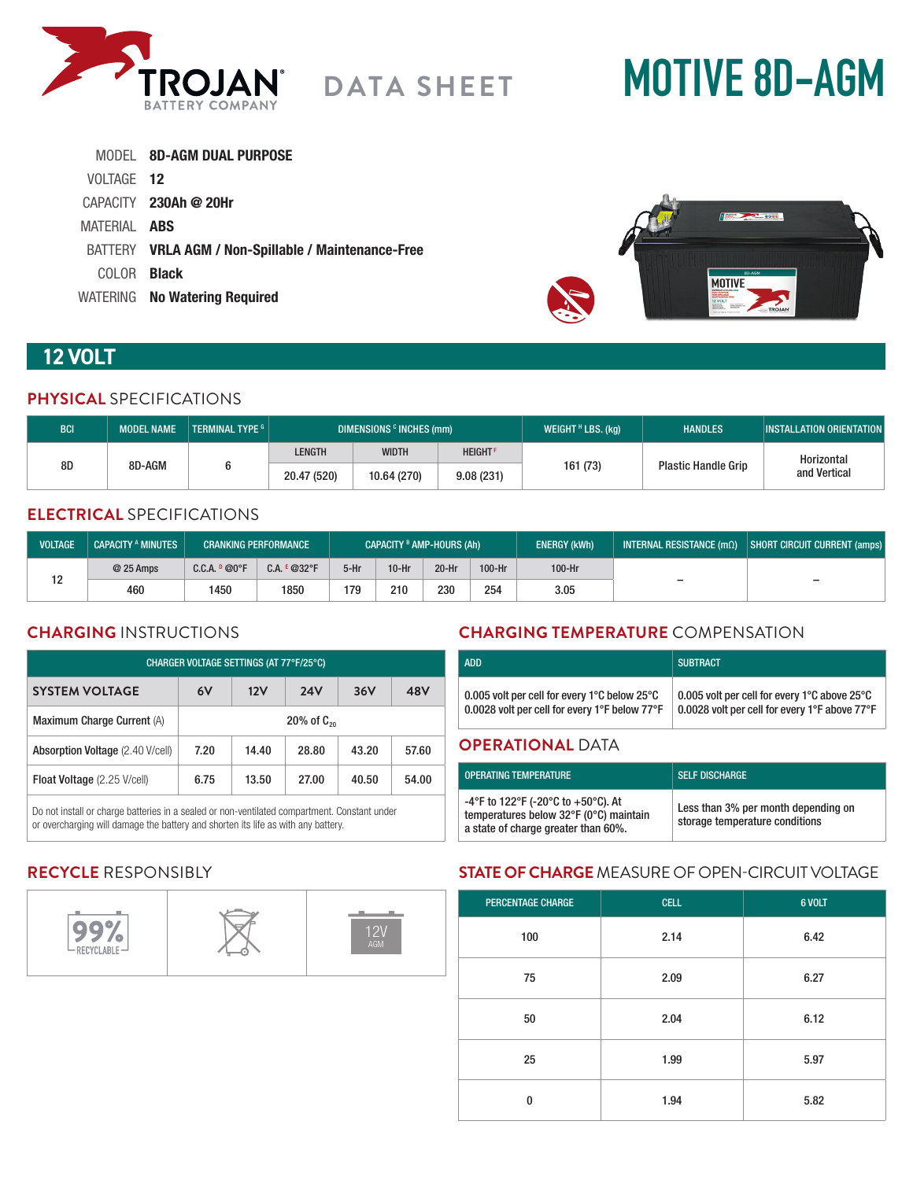

# **MOTIVE 8D-AGM**

|                     | MODEL 8D-AGM DUAL PURPOSE                           |
|---------------------|-----------------------------------------------------|
| VOLTAGE 12          |                                                     |
|                     | $CAPACITY$ 230Ah @ 20Hr                             |
| MATERIAL <b>ABS</b> |                                                     |
|                     | BATTERY VRLA AGM / Non-Spillable / Maintenance-Free |
| COLOR -             | <b>Black</b>                                        |
|                     | WATERING No Watering Required                       |



# **12 VOLT**

#### **PHYSICAL** SPECIFICATIONS

| <b>BCI</b>   | <b>MODEL NAME</b> | TERMINAL TYPE G | DIMENSIONS <sup>c</sup> INCHES (mm) |                |          | WEIGHT $H$ LBS. (kg)       | <b>HANDLES</b>             | <b>INSTALLATION ORIENTATION</b> |
|--------------|-------------------|-----------------|-------------------------------------|----------------|----------|----------------------------|----------------------------|---------------------------------|
| 8D<br>8D-AGM |                   | LENGTH          | <b>WIDTH</b>                        | <b>HEIGHTF</b> |          | <b>Plastic Handle Grip</b> | Horizontal<br>and Vertical |                                 |
|              |                   | 20.47 (520)     | 10.64 (270)                         | 9.08(231)      | 161 (73) |                            |                            |                                 |

# **ELECTRICAL** SPECIFICATIONS

| <b>VOLTAGE</b> | <b>CAPACITY A MINUTES</b> |                | <b>CRANKING PERFORMANCE</b> |      |         | <b>CAPACITY B AMP-HOURS (Ah)</b> |        | <b>ENERGY (kWh)</b> | INTERNAL RESISTANCE $(m\Omega)$ | SHORT CIRCUIT CURRENT (amps) |
|----------------|---------------------------|----------------|-----------------------------|------|---------|----------------------------------|--------|---------------------|---------------------------------|------------------------------|
| 10             | @ 25 Amps                 | C.C.A. P @ 0°F | $C.A. E @32^{\circ}F$       | 5-Hr | $10-Hr$ | 20-Hr                            | 100-Hr | 100-Hr              |                                 |                              |
|                | 460                       | 1450           | 1850                        | 179  | 210     | 230                              | 254    | 3.05                | $\overline{\phantom{0}}$        | $\overline{\phantom{0}}$     |

### **CHARGING** INSTRUCTIONS

| CHARGER VOLTAGE SETTINGS (AT 77°F/25°C) |                 |       |            |       |       |
|-----------------------------------------|-----------------|-------|------------|-------|-------|
| <b>SYSTEM VOLTAGE</b>                   | 6V              | 12V   | <b>24V</b> | 36V   | 48V   |
| Maximum Charge Current (A)              | 20% of $C_{20}$ |       |            |       |       |
| Absorption Voltage (2.40 V/cell)        | 7.20            | 14.40 | 28.80      | 43.20 | 57.60 |
| Float Voltage (2.25 V/cell)             | 6.75            | 13.50 | 27.00      | 40.50 | 54.00 |

Do not install or charge batteries in a sealed or non-ventilated compartment. Constant under or overcharging will damage the battery and shorten its life as with any battery.

# **CHARGING TEMPERATURE** COMPENSATION

| <b>ADD</b>                                                                                                          | <b>SUBTRACT</b>                                                                               |
|---------------------------------------------------------------------------------------------------------------------|-----------------------------------------------------------------------------------------------|
| 0.005 volt per cell for every 1 $^{\circ}$ C below 25 $^{\circ}$ C<br>0.0028 volt per cell for every 1°F below 77°F | 0.005 volt per cell for every 1°C above 25°C<br>0.0028 volt per cell for every 1°F above 77°F |
| <b>ODEDATIONAL DATA</b>                                                                                             |                                                                                               |

#### **OPERATIONAL** DATA

| <b>OPERATING TEMPERATURE</b>                                                                                        | <b>SELF DISCHARGE</b>                                                 |
|---------------------------------------------------------------------------------------------------------------------|-----------------------------------------------------------------------|
| -4°F to 122°F (-20°C to +50°C). At<br>temperatures below 32°F (0°C) maintain<br>a state of charge greater than 60%. | Less than 3% per month depending on<br>storage temperature conditions |

# **RECYCLE** RESPONSIBLY



# **STATE OF CHARGE** MEASURE OF OPEN-CIRCUIT VOLTAGE

| <b>PERCENTAGE CHARGE</b> | <b>CELL</b> | 6 VOLT |
|--------------------------|-------------|--------|
| 100                      | 2.14        | 6.42   |
| 75                       | 2.09        | 6.27   |
| 50                       | 2.04        | 6.12   |
| 25                       | 1.99        | 5.97   |
| $\bf{0}$                 | 1.94        | 5.82   |